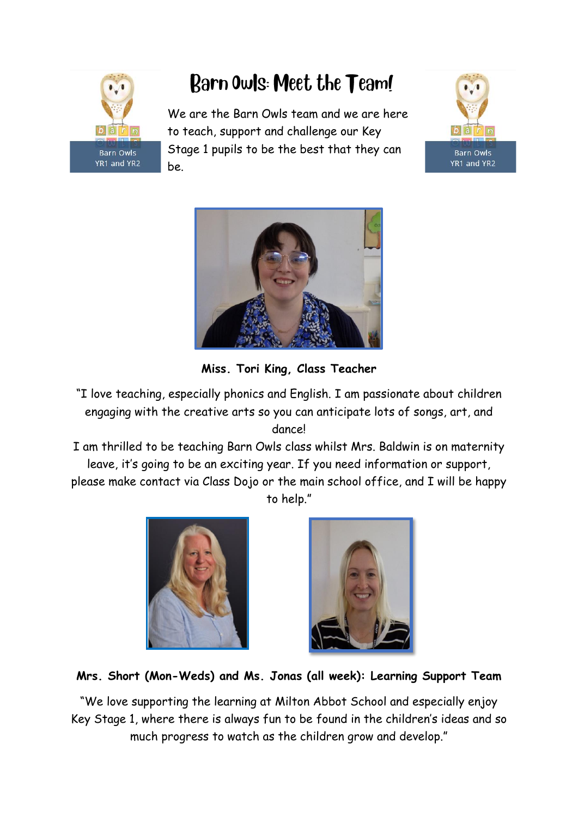

# Barn Owls: Meet the Team!

We are the Barn Owls team and we are here to teach, support and challenge our Key Stage 1 pupils to be the best that they can be.





**Miss. Tori King, Class Teacher**

- "I love teaching, especially phonics and English. I am passionate about children engaging with the creative arts so you can anticipate lots of songs, art, and dance!
- I am thrilled to be teaching Barn Owls class whilst Mrs. Baldwin is on maternity leave, it's going to be an exciting year. If you need information or support, please make contact via Class Dojo or the main school office, and I will be happy to help."





**Mrs. Short (Mon-Weds) and Ms. Jonas (all week): Learning Support Team**

"We love supporting the learning at Milton Abbot School and especially enjoy Key Stage 1, where there is always fun to be found in the children's ideas and so much progress to watch as the children grow and develop."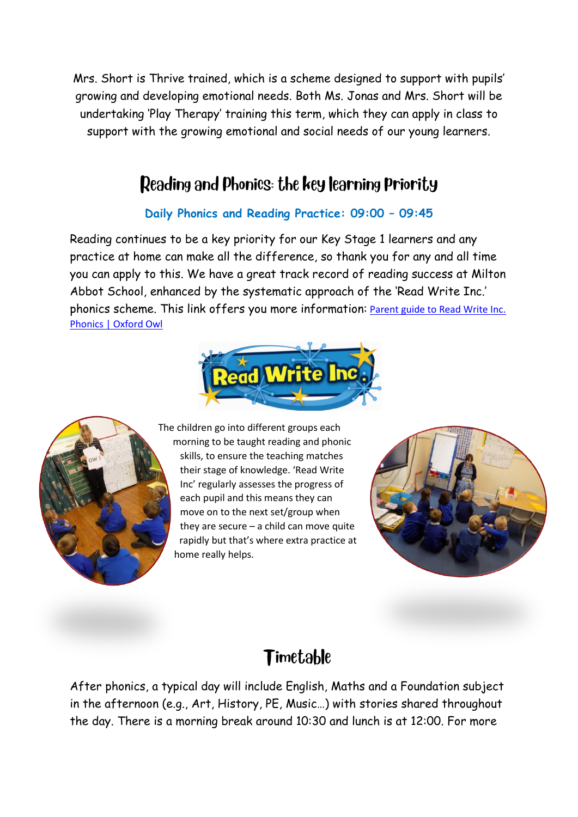Mrs. Short is Thrive trained, which is a scheme designed to support with pupils' growing and developing emotional needs. Both Ms. Jonas and Mrs. Short will be undertaking 'Play Therapy' training this term, which they can apply in class to support with the growing emotional and social needs of our young learners.

#### Reading and Phonics: the key learning Priority

#### **Daily Phonics and Reading Practice: 09:00 – 09:45**

Reading continues to be a key priority for our Key Stage 1 learners and any practice at home can make all the difference, so thank you for any and all time you can apply to this. We have a great track record of reading success at Milton Abbot School, enhanced by the systematic approach of the 'Read Write Inc.' phonics scheme. This link offers you more information: [Parent guide to Read Write Inc.](https://home.oxfordowl.co.uk/reading/reading-schemes-oxford-levels/read-write-inc-phonics-guide/)  [Phonics | Oxford Owl](https://home.oxfordowl.co.uk/reading/reading-schemes-oxford-levels/read-write-inc-phonics-guide/)





The children go into different groups each morning to be taught reading and phonic skills, to ensure the teaching matches their stage of knowledge. 'Read Write Inc' regularly assesses the progress of each pupil and this means they can move on to the next set/group when they are secure – a child can move quite rapidly but that's where extra practice at home really helps.



#### Timetable

After phonics, a typical day will include English, Maths and a Foundation subject in the afternoon (e.g., Art, History, PE, Music…) with stories shared throughout the day. There is a morning break around 10:30 and lunch is at 12:00. For more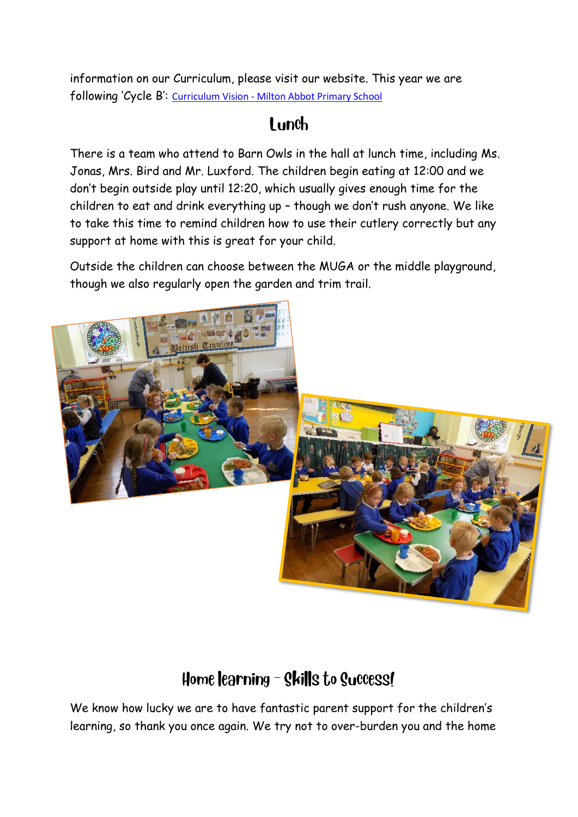information on our Curriculum, please visit our website. This year we are following 'Cycle B': Curriculum Vision - [Milton Abbot Primary School](https://www.miltonabbot.devon.sch.uk/curriculum-vision.html)

#### $1$  unch

There is a team who attend to Barn Owls in the hall at lunch time, including Ms. Jonas, Mrs. Bird and Mr. Luxford. The children begin eating at 12:00 and we don't begin outside play until 12:20, which usually gives enough time for the children to eat and drink everything up – though we don't rush anyone. We like to take this time to remind children how to use their cutlery correctly but any support at home with this is great for your child.

Outside the children can choose between the MUGA or the middle playground, though we also regularly open the garden and trim trail.



## Home learning - Skills to Success!

We know how lucky we are to have fantastic parent support for the children's learning, so thank you once again. We try not to over-burden you and the home